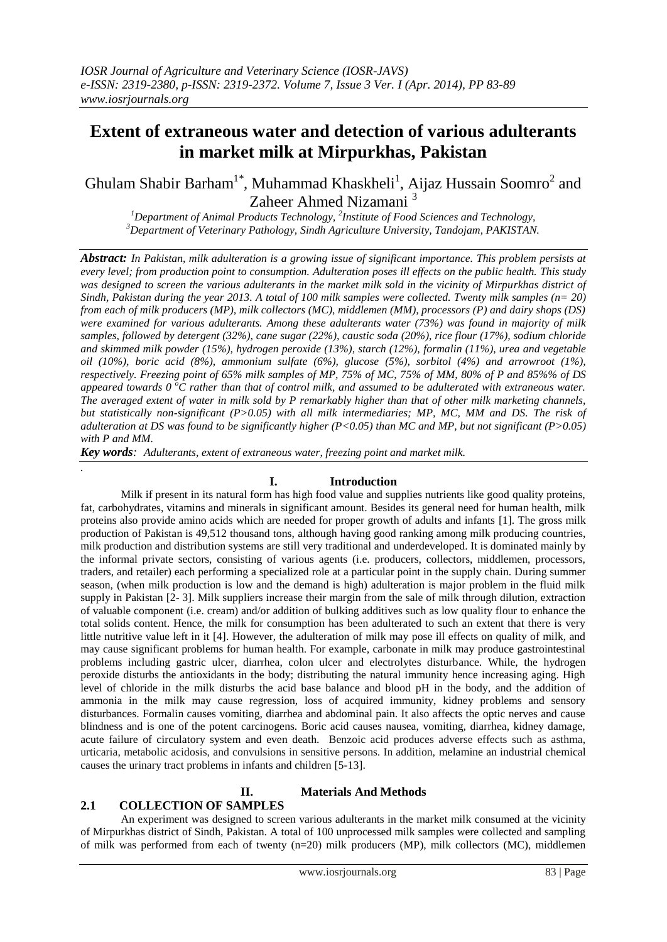# **Extent of extraneous water and detection of various adulterants in market milk at Mirpurkhas, Pakistan**

Ghulam Shabir Barham<sup>1\*</sup>, Muhammad Khaskheli<sup>1</sup>, Aijaz Hussain Soomro<sup>2</sup> and Zaheer Ahmed Nizamani <sup>3</sup>

*<sup>1</sup>Department of Animal Products Technology, <sup>2</sup> Institute of Food Sciences and Technology, <sup>3</sup>Department of Veterinary Pathology, Sindh Agriculture University, Tandojam, PAKISTAN.*

*Abstract: In Pakistan, milk adulteration is a growing issue of significant importance. This problem persists at every level; from production point to consumption. Adulteration poses ill effects on the public health. This study was designed to screen the various adulterants in the market milk sold in the vicinity of Mirpurkhas district of Sindh, Pakistan during the year 2013. A total of 100 milk samples were collected. Twenty milk samples (n= 20) from each of milk producers (MP), milk collectors (MC), middlemen (MM), processors (P) and dairy shops (DS) were examined for various adulterants. Among these adulterants water (73%) was found in majority of milk samples, followed by detergent (32%), cane sugar (22%), caustic soda (20%), rice flour (17%), sodium chloride and skimmed milk powder (15%), hydrogen peroxide (13%), starch (12%), formalin (11%), urea and vegetable oil (10%), boric acid (8%), ammonium sulfate (6%), glucose (5%), sorbitol (4%) and arrowroot (1%), respectively. Freezing point of 65% milk samples of MP, 75% of MC, 75% of MM, 80% of P and 85%% of DS appeared towards 0 <sup>o</sup>C rather than that of control milk, and assumed to be adulterated with extraneous water. The averaged extent of water in milk sold by P remarkably higher than that of other milk marketing channels, but statistically non-significant (P>0.05) with all milk intermediaries; MP, MC, MM and DS. The risk of adulteration at DS was found to be significantly higher (P<0.05) than MC and MP, but not significant (P>0.05) with P and MM.*

*Key words: Adulterants, extent of extraneous water, freezing point and market milk.*

## **I. Introduction**

Milk if present in its natural form has high food value and supplies nutrients like good quality proteins, fat, carbohydrates, vitamins and minerals in significant amount. Besides its general need for human health, milk proteins also provide amino acids which are needed for proper growth of adults and infants [1]. The gross milk production of Pakistan is 49,512 thousand tons, although having good ranking among milk producing countries, milk production and distribution systems are still very traditional and underdeveloped. It is dominated mainly by the informal private sectors, consisting of various agents (i.e. producers, collectors, middlemen, processors, traders, and retailer) each performing a specialized role at a particular point in the supply chain. During summer season, (when milk production is low and the demand is high) adulteration is major problem in the fluid milk supply in Pakistan [2- 3]. Milk suppliers increase their margin from the sale of milk through dilution, extraction of valuable component (i.e. cream) and/or addition of bulking additives such as low quality flour to enhance the total solids content. Hence, the milk for consumption has been adulterated to such an extent that there is very little nutritive value left in it [4]. However, the adulteration of milk may pose ill effects on quality of milk, and may cause significant problems for human health. For example, carbonate in milk may produce gastrointestinal problems including gastric ulcer, diarrhea, colon ulcer and electrolytes disturbance. While, the hydrogen peroxide disturbs the antioxidants in the body; distributing the natural immunity hence increasing aging. High level of chloride in the milk disturbs the acid base balance and blood pH in the body, and the addition of ammonia in the milk may cause regression, loss of acquired immunity, kidney problems and sensory disturbances. Formalin causes vomiting, diarrhea and abdominal pain. It also affects the optic nerves and cause blindness and is one of the potent carcinogens. Boric acid causes nausea, vomiting, diarrhea, kidney damage, acute failure of circulatory system and even death. Benzoic acid produces adverse effects such as asthma, urticaria, metabolic acidosis, and convulsions in sensitive persons. In addition, melamine an industrial chemical causes the urinary tract problems in infants and children [5-13].

# **II. Materials And Methods**

# **2.1 COLLECTION OF SAMPLES**

*.* 

An experiment was designed to screen various adulterants in the market milk consumed at the vicinity of Mirpurkhas district of Sindh, Pakistan. A total of 100 unprocessed milk samples were collected and sampling of milk was performed from each of twenty (n=20) milk producers (MP), milk collectors (MC), middlemen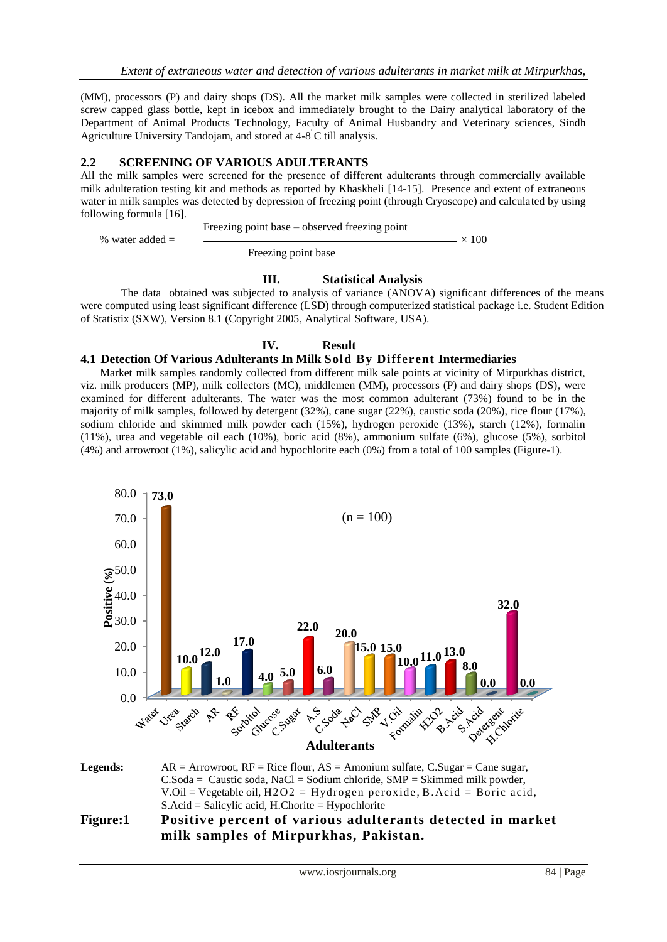(MM), processors (P) and dairy shops (DS). All the market milk samples were collected in sterilized labeled screw capped glass bottle, kept in icebox and immediately brought to the Dairy analytical laboratory of the Department of Animal Products Technology, Faculty of Animal Husbandry and Veterinary sciences, Sindh Agriculture University Tandojam, and stored at 4-8 °C till analysis.

#### **2.2 SCREENING OF VARIOUS ADULTERANTS**

All the milk samples were screened for the presence of different adulterants through commercially available milk adulteration testing kit and methods as reported by Khaskheli [14-15]. Presence and extent of extraneous water in milk samples was detected by depression of freezing point (through Cryoscope) and calculated by using following formula [16].

Freezing point base – observed freezing point

% water added =  $\sim 100$ 

Freezing point base

#### **III. Statistical Analysis**

The data obtained was subjected to analysis of variance (ANOVA) significant differences of the means were computed using least significant difference (LSD) through computerized statistical package i.e. Student Edition of Statistix (SXW), Version 8.1 (Copyright 2005, Analytical Software, USA).

## **IV. Result**

#### **4.1 Detection Of Various Adulterants In Milk Sold By Different Intermediaries**

Market milk samples randomly collected from different milk sale points at vicinity of Mirpurkhas district, viz. milk producers (MP), milk collectors (MC), middlemen (MM), processors (P) and dairy shops (DS), were examined for different adulterants. The water was the most common adulterant (73%) found to be in the majority of milk samples, followed by detergent (32%), cane sugar (22%), caustic soda (20%), rice flour (17%), sodium chloride and skimmed milk powder each (15%), hydrogen peroxide (13%), starch (12%), formalin (11%), urea and vegetable oil each (10%), boric acid (8%), ammonium sulfate (6%), glucose (5%), sorbitol (4%) and arrowroot (1%), salicylic acid and hypochlorite each (0%) from a total of 100 samples (Figure-1).



S.Acid = Salicylic acid, H.Chorite = Hypochlorite

# **Figure:1 Positive percent of various adulterants detected in market milk samples of Mirpurkhas, Pakistan.**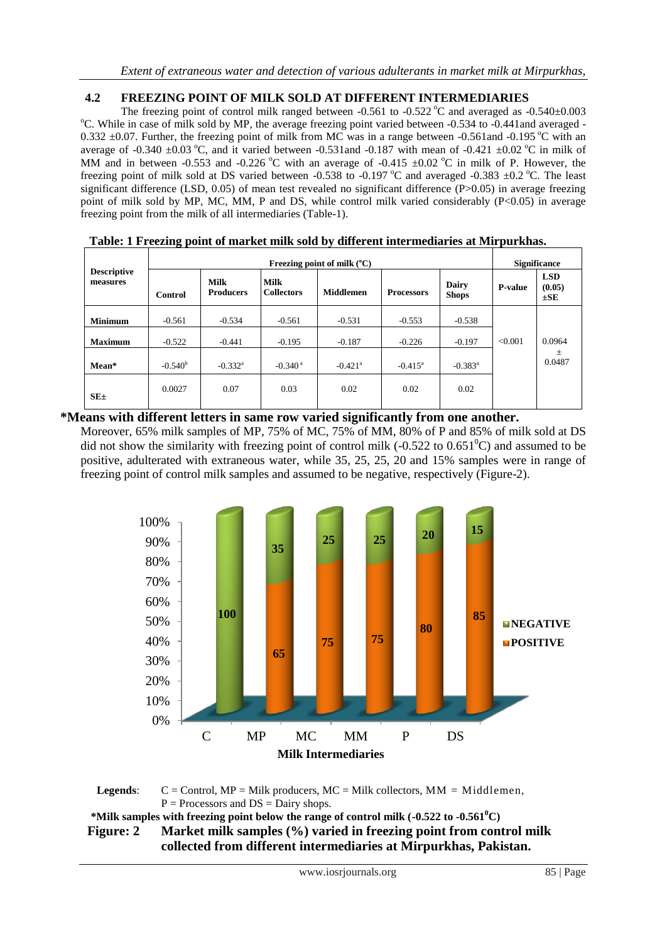# **4.2 FREEZING POINT OF MILK SOLD AT DIFFERENT INTERMEDIARIES**

The freezing point of control milk ranged between  $-0.561$  to  $-0.522$  °C and averaged as  $-0.540\pm0.003$ <sup>o</sup>C. While in case of milk sold by MP, the average freezing point varied between -0.534 to -0.441 and averaged -0.332  $\pm$ 0.07. Further, the freezing point of milk from MC was in a range between -0.561 and -0.195 °C with an average of -0.340  $\pm$ 0.03 °C, and it varied between -0.531 and -0.187 with mean of -0.421  $\pm$ 0.02 °C in milk of MM and in between -0.553 and -0.226 °C with an average of -0.415  $\pm$ 0.02 °C in milk of P. However, the freezing point of milk sold at DS varied between -0.538 to -0.197  $^{\circ}$ C and averaged -0.383  $\pm$ 0.2  $^{\circ}$ C. The least significant difference (LSD,  $0.05$ ) of mean test revealed no significant difference (P $> 0.05$ ) in average freezing point of milk sold by MP, MC, MM, P and DS, while control milk varied considerably (P<0.05) in average freezing point from the milk of all intermediaries (Table-1).

|                                | Freezing point of milk $(^{\circ}C)$ |                                 |                                  |                       |                   |                              | <b>Significance</b> |                                  |
|--------------------------------|--------------------------------------|---------------------------------|----------------------------------|-----------------------|-------------------|------------------------------|---------------------|----------------------------------|
| <b>Descriptive</b><br>measures | Control                              | <b>Milk</b><br><b>Producers</b> | <b>Milk</b><br><b>Collectors</b> | <b>Middlemen</b>      | <b>Processors</b> | <b>Dairy</b><br><b>Shops</b> | <b>P-value</b>      | <b>LSD</b><br>(0.05)<br>$\pm$ SE |
| <b>Minimum</b>                 | $-0.561$                             | $-0.534$                        | $-0.561$                         | $-0.531$              | $-0.553$          | $-0.538$                     |                     |                                  |
| <b>Maximum</b>                 | $-0.522$                             | $-0.441$                        | $-0.195$                         | $-0.187$              | $-0.226$          | $-0.197$                     | < 0.001             | 0.0964                           |
| Mean*                          | $-0.540b$                            | $-0.332$ <sup>a</sup>           | $-0.340$ <sup>a</sup>            | $-0.421$ <sup>a</sup> | $-0.415^{\rm a}$  | $-0.383$ <sup>a</sup>        |                     | $\pm$<br>0.0487                  |
| $SE_{\pm}$                     | 0.0027                               | 0.07                            | 0.03                             | 0.02                  | 0.02              | 0.02                         |                     |                                  |

**Table: 1 Freezing point of market milk sold by different intermediaries at Mirpurkhas.**

## **\*Means with different letters in same row varied significantly from one another.**

Moreover, 65% milk samples of MP, 75% of MC, 75% of MM, 80% of P and 85% of milk sold at DS did not show the similarity with freezing point of control milk  $(-0.522 \text{ to } 0.651^{\circ}\text{C})$  and assumed to be positive, adulterated with extraneous water, while 35, 25, 25, 20 and 15% samples were in range of freezing point of control milk samples and assumed to be negative, respectively (Figure-2).



Legends:  $C =$  Control, MP = Milk producers, MC = Milk collectors, MM = Middlemen,  $P =$  Processors and  $DS =$  Dairy shops.

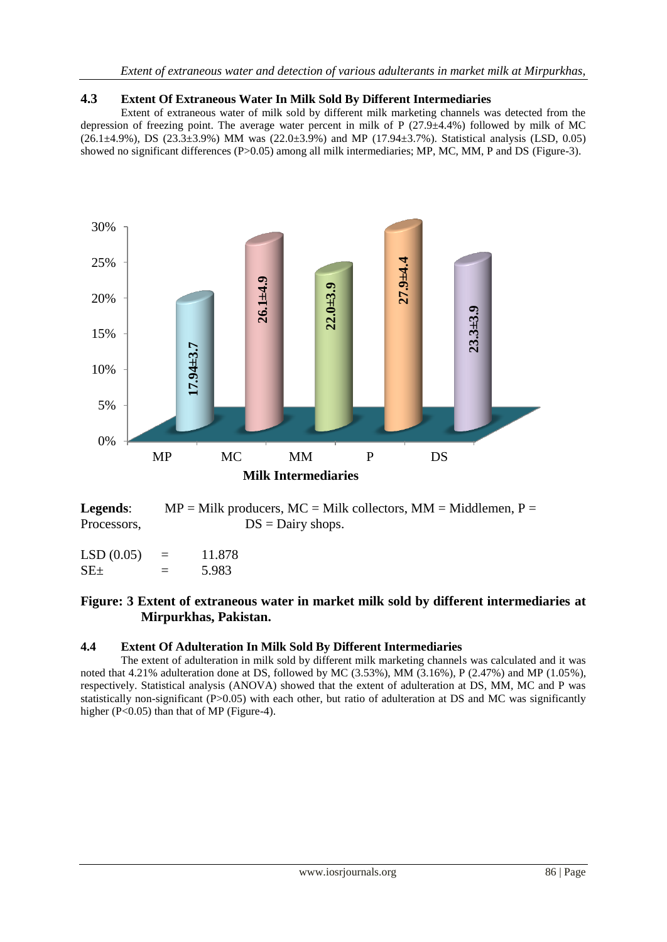## **4.3 Extent Of Extraneous Water In Milk Sold By Different Intermediaries**

Extent of extraneous water of milk sold by different milk marketing channels was detected from the depression of freezing point. The average water percent in milk of P  $(27.9\pm4.4\%)$  followed by milk of MC (26.1±4.9%), DS (23.3±3.9%) MM was (22.0±3.9%) and MP (17.94±3.7%). Statistical analysis (LSD, 0.05) showed no significant differences (P>0.05) among all milk intermediaries; MP, MC, MM, P and DS (Figure-3).



**Legends:**  $MP = Milk$  producers,  $MC = Milk$  collectors,  $MM = Middlemen$ ,  $P =$ Processors,  $DS = Dairy$  shops.

| LSD(0.05)  | 11.878 |
|------------|--------|
| $SE_{\pm}$ | 5.983  |

# **Figure: 3 Extent of extraneous water in market milk sold by different intermediaries at Mirpurkhas, Pakistan.**

#### **4.4 Extent Of Adulteration In Milk Sold By Different Intermediaries**

The extent of adulteration in milk sold by different milk marketing channels was calculated and it was noted that 4.21% adulteration done at DS, followed by MC (3.53%), MM (3.16%), P (2.47%) and MP (1.05%), respectively. Statistical analysis (ANOVA) showed that the extent of adulteration at DS, MM, MC and P was statistically non-significant (P>0.05) with each other, but ratio of adulteration at DS and MC was significantly higher  $(P<0.05)$  than that of MP (Figure-4).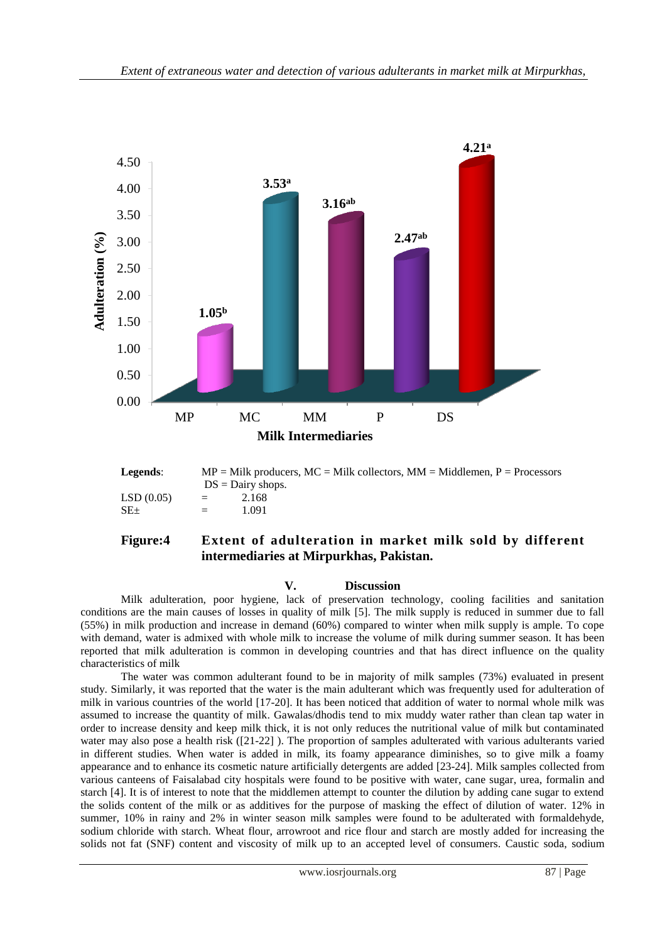

**Legends:**  $MP = Milk$  producers,  $MC = Milk$  collectors,  $MM = Middlemen$ ,  $P = Processors$  $DS =$ Dairy shops.  $LSD(0.05) = 2.168$  $SE_{\pm}$  = 1.091

### **Figure:4 Extent of adulteration in market milk sold by different**

**intermediaries at Mirpurkhas, Pakistan.**

#### **V. Discussion**

Milk adulteration, poor hygiene, lack of preservation technology, cooling facilities and sanitation conditions are the main causes of losses in quality of milk [5]. The milk supply is reduced in summer due to fall (55%) in milk production and increase in demand (60%) compared to winter when milk supply is ample. To cope with demand, water is admixed with whole milk to increase the volume of milk during summer season. It has been reported that milk adulteration is common in developing countries and that has direct influence on the quality characteristics of milk

The water was common adulterant found to be in majority of milk samples (73%) evaluated in present study. Similarly, it was reported that the water is the main adulterant which was frequently used for adulteration of milk in various countries of the world [17-20]. It has been noticed that addition of water to normal whole milk was assumed to increase the quantity of milk. Gawalas/dhodis tend to mix muddy water rather than clean tap water in order to increase density and keep milk thick, it is not only reduces the nutritional value of milk but contaminated water may also pose a health risk ([21-22] ). The proportion of samples adulterated with various adulterants varied in different studies. When water is added in milk, its foamy appearance diminishes, so to give milk a foamy appearance and to enhance its cosmetic nature artificially detergents are added [23-24]. Milk samples collected from various canteens of Faisalabad city hospitals were found to be positive with water, cane sugar, urea, formalin and starch [4]. It is of interest to note that the middlemen attempt to counter the dilution by adding cane sugar to extend the solids content of the milk or as additives for the purpose of masking the effect of dilution of water. 12% in summer, 10% in rainy and 2% in winter season milk samples were found to be adulterated with formaldehyde, sodium chloride with starch. Wheat flour, arrowroot and rice flour and starch are mostly added for increasing the solids not fat (SNF) content and viscosity of milk up to an accepted level of consumers. Caustic soda, sodium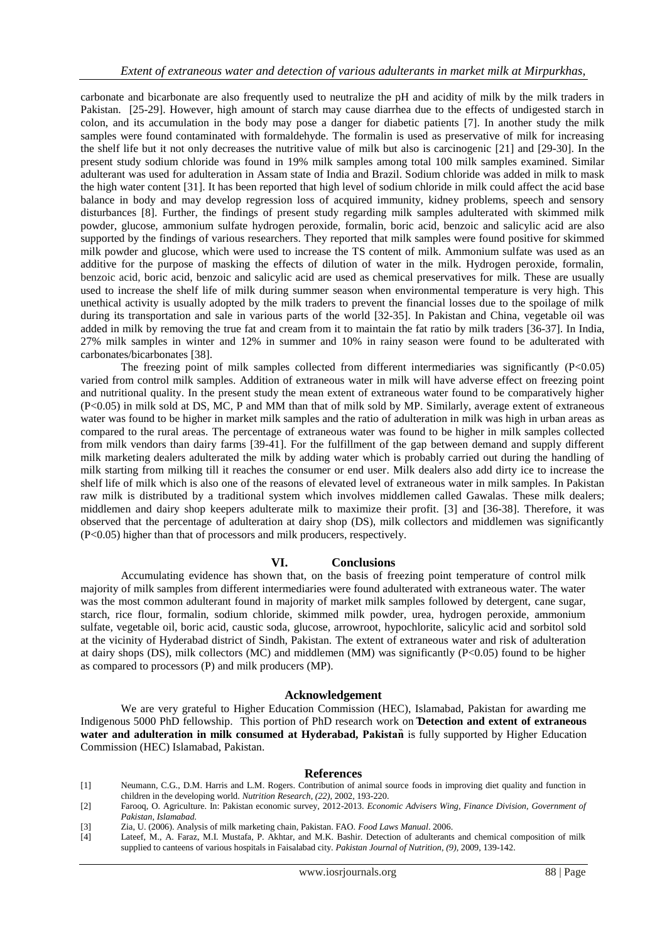carbonate and bicarbonate are also frequently used to neutralize the pH and acidity of milk by the milk traders in Pakistan. [25-29]. However, high amount of starch may cause diarrhea due to the effects of undigested starch in colon, and its accumulation in the body may pose a danger for diabetic patients [7]. In another study the milk samples were found contaminated with formaldehyde. The formalin is used as preservative of milk for increasing the shelf life but it not only decreases the nutritive value of milk but also is carcinogenic [21] and [29-30]. In the present study sodium chloride was found in 19% milk samples among total 100 milk samples examined. Similar adulterant was used for adulteration in Assam state of India and Brazil. Sodium chloride was added in milk to mask the high water content [31]. It has been reported that high level of sodium chloride in milk could affect the acid base balance in body and may develop regression loss of acquired immunity, kidney problems, speech and sensory disturbances [8]. Further, the findings of present study regarding milk samples adulterated with skimmed milk powder, glucose, ammonium sulfate hydrogen peroxide, formalin, boric acid, benzoic and salicylic acid are also supported by the findings of various researchers. They reported that milk samples were found positive for skimmed milk powder and glucose, which were used to increase the TS content of milk. Ammonium sulfate was used as an additive for the purpose of masking the effects of dilution of water in the milk. Hydrogen peroxide, formalin, benzoic acid, boric acid, benzoic and salicylic acid are used as chemical preservatives for milk. These are usually used to increase the shelf life of milk during summer season when environmental temperature is very high. This unethical activity is usually adopted by the milk traders to prevent the financial losses due to the spoilage of milk during its transportation and sale in various parts of the world [32-35]. In Pakistan and China, vegetable oil was added in milk by removing the true fat and cream from it to maintain the fat ratio by milk traders [36-37]. In India, 27% milk samples in winter and 12% in summer and 10% in rainy season were found to be adulterated with carbonates/bicarbonates [38].

The freezing point of milk samples collected from different intermediaries was significantly  $(P<0.05)$ varied from control milk samples. Addition of extraneous water in milk will have adverse effect on freezing point and nutritional quality. In the present study the mean extent of extraneous water found to be comparatively higher (P<0.05) in milk sold at DS, MC, P and MM than that of milk sold by MP. Similarly, average extent of extraneous water was found to be higher in market milk samples and the ratio of adulteration in milk was high in urban areas as compared to the rural areas. The percentage of extraneous water was found to be higher in milk samples collected from milk vendors than dairy farms [39-41]. For the fulfillment of the gap between demand and supply different milk marketing dealers adulterated the milk by adding water which is probably carried out during the handling of milk starting from milking till it reaches the consumer or end user. Milk dealers also add dirty ice to increase the shelf life of milk which is also one of the reasons of elevated level of extraneous water in milk samples. In Pakistan raw milk is distributed by a traditional system which involves middlemen called Gawalas. These milk dealers; middlemen and dairy shop keepers adulterate milk to maximize their profit. [3] and [36-38]. Therefore, it was observed that the percentage of adulteration at dairy shop (DS), milk collectors and middlemen was significantly (P<0.05) higher than that of processors and milk producers, respectively.

#### **VI. Conclusions**

Accumulating evidence has shown that, on the basis of freezing point temperature of control milk majority of milk samples from different intermediaries were found adulterated with extraneous water. The water was the most common adulterant found in majority of market milk samples followed by detergent, cane sugar, starch, rice flour, formalin, sodium chloride, skimmed milk powder, urea, hydrogen peroxide, ammonium sulfate, vegetable oil, boric acid, caustic soda, glucose, arrowroot, hypochlorite, salicylic acid and sorbitol sold at the vicinity of Hyderabad district of Sindh, Pakistan. The extent of extraneous water and risk of adulteration at dairy shops (DS), milk collectors (MC) and middlemen (MM) was significantly  $(P<0.05)$  found to be higher as compared to processors (P) and milk producers (MP).

#### **Acknowledgement**

We are very grateful to Higher Education Commission (HEC), Islamabad, Pakistan for awarding me Indigenous 5000 PhD fellowship. This portion of PhD research work on **Detection and extent of extraneous water and adulteration in milk consumed at Hyderabad, Pakistan is fully supported by Higher Education** Commission (HEC) Islamabad, Pakistan.

#### **References**

- [1] Neumann, C.G., D.M. Harris and L.M. Rogers. Contribution of animal source foods in improving diet quality and function in children in the developing world. *Nutrition Research, (22),* 2002, 193-220.
- [2] Farooq, O. Agriculture. In: Pakistan economic survey, 2012-2013. *Economic Advisers Wing, Finance Division, Government of Pakistan, Islamabad.*
- [3] Zia, U. (2006). Analysis of milk marketing chain, Pakistan. FAO. *Food Laws Manual*. 2006.
- [4] Lateef, M., A. Faraz, M.I. Mustafa, P. Akhtar, and M.K. Bashir. Detection of adulterants and chemical composition of milk supplied to canteens of various hospitals in Faisalabad city. *Pakistan Journal of Nutrition*, *(9),* 2009, 139-142.